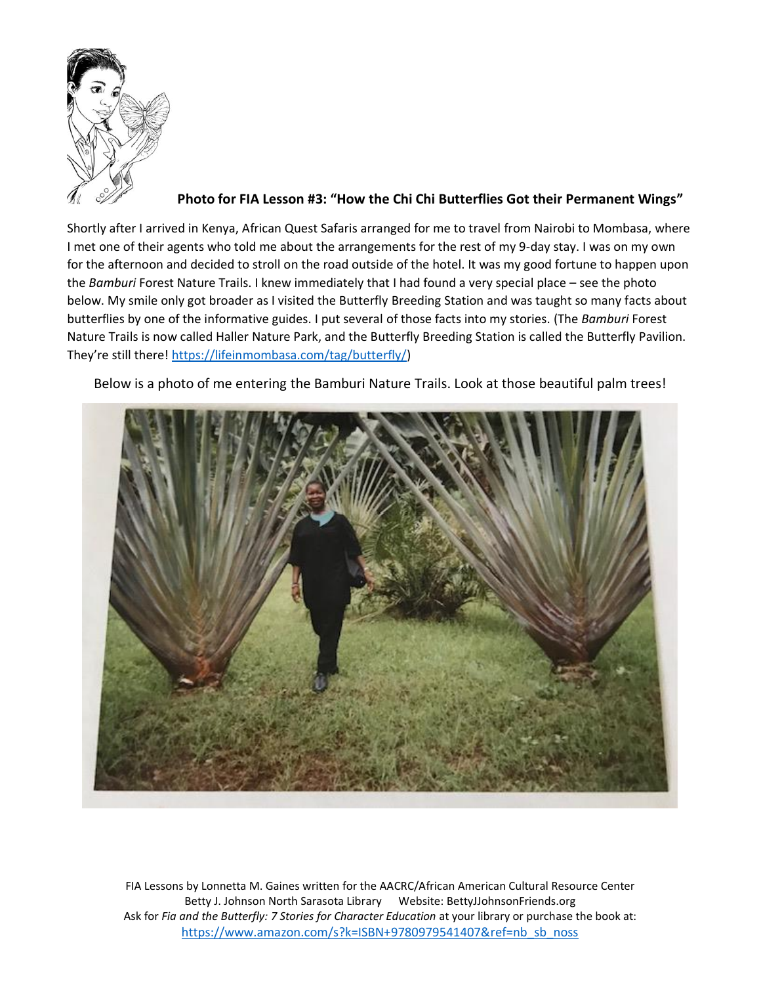

**Photo for FIA Lesson #3: "How the Chi Chi Butterflies Got their Permanent Wings"**

Shortly after I arrived in Kenya, African Quest Safaris arranged for me to travel from Nairobi to Mombasa, where I met one of their agents who told me about the arrangements for the rest of my 9-day stay. I was on my own for the afternoon and decided to stroll on the road outside of the hotel. It was my good fortune to happen upon the *Bamburi* Forest Nature Trails. I knew immediately that I had found a very special place – see the photo below. My smile only got broader as I visited the Butterfly Breeding Station and was taught so many facts about butterflies by one of the informative guides. I put several of those facts into my stories. (The *Bamburi* Forest Nature Trails is now called Haller Nature Park, and the Butterfly Breeding Station is called the Butterfly Pavilion. They're still there! [https://lifeinmombasa.com/tag/butterfly/\)](https://lifeinmombasa.com/tag/butterfly/)

Below is a photo of me entering the Bamburi Nature Trails. Look at those beautiful palm trees!

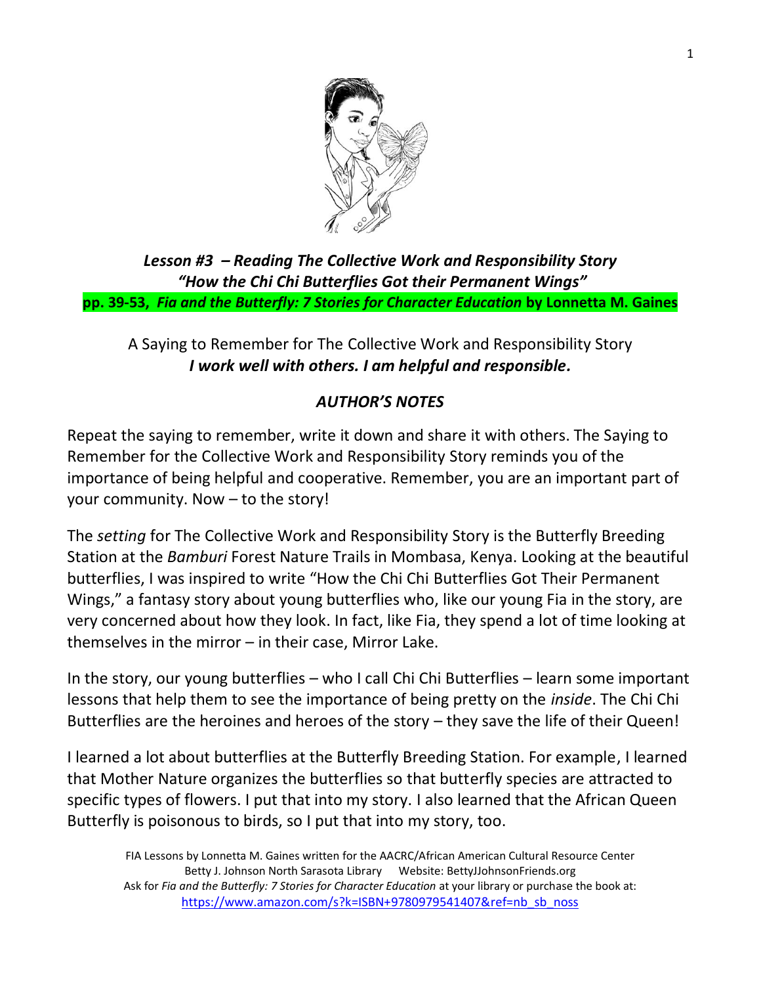

*Lesson #3 – Reading The Collective Work and Responsibility Story "How the Chi Chi Butterflies Got their Permanent Wings"* **pp. 39-53,** *Fia and the Butterfly: 7 Stories for Character Education* **by Lonnetta M. Gaines**

## A Saying to Remember for The Collective Work and Responsibility Story *I work well with others. I am helpful and responsible.*

## *AUTHOR'S NOTES*

Repeat the saying to remember, write it down and share it with others. The Saying to Remember for the Collective Work and Responsibility Story reminds you of the importance of being helpful and cooperative. Remember, you are an important part of your community. Now – to the story!

The *setting* for The Collective Work and Responsibility Story is the Butterfly Breeding Station at the *Bamburi* Forest Nature Trails in Mombasa, Kenya. Looking at the beautiful butterflies, I was inspired to write "How the Chi Chi Butterflies Got Their Permanent Wings," a fantasy story about young butterflies who, like our young Fia in the story, are very concerned about how they look. In fact, like Fia, they spend a lot of time looking at themselves in the mirror – in their case, Mirror Lake.

In the story, our young butterflies – who I call Chi Chi Butterflies – learn some important lessons that help them to see the importance of being pretty on the *inside*. The Chi Chi Butterflies are the heroines and heroes of the story – they save the life of their Queen!

I learned a lot about butterflies at the Butterfly Breeding Station. For example, I learned that Mother Nature organizes the butterflies so that butterfly species are attracted to specific types of flowers. I put that into my story. I also learned that the African Queen Butterfly is poisonous to birds, so I put that into my story, too.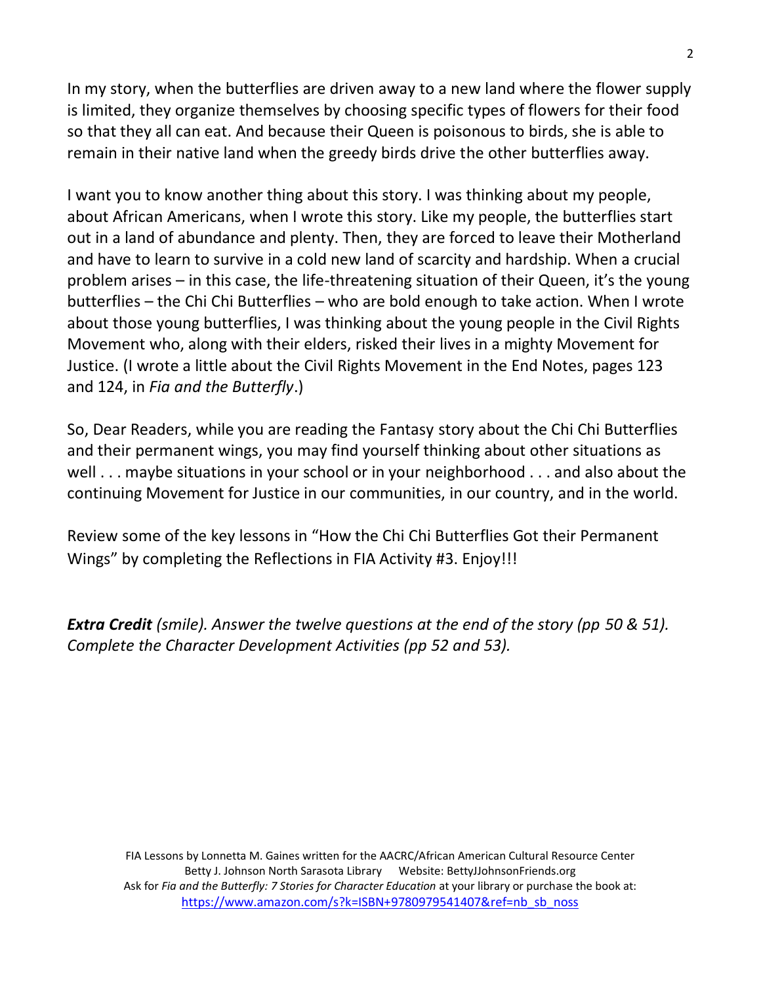In my story, when the butterflies are driven away to a new land where the flower supply is limited, they organize themselves by choosing specific types of flowers for their food so that they all can eat. And because their Queen is poisonous to birds, she is able to remain in their native land when the greedy birds drive the other butterflies away.

I want you to know another thing about this story. I was thinking about my people, about African Americans, when I wrote this story. Like my people, the butterflies start out in a land of abundance and plenty. Then, they are forced to leave their Motherland and have to learn to survive in a cold new land of scarcity and hardship. When a crucial problem arises – in this case, the life-threatening situation of their Queen, it's the young butterflies – the Chi Chi Butterflies – who are bold enough to take action. When I wrote about those young butterflies, I was thinking about the young people in the Civil Rights Movement who, along with their elders, risked their lives in a mighty Movement for Justice. (I wrote a little about the Civil Rights Movement in the End Notes, pages 123 and 124, in *Fia and the Butterfly*.)

So, Dear Readers, while you are reading the Fantasy story about the Chi Chi Butterflies and their permanent wings, you may find yourself thinking about other situations as well . . . maybe situations in your school or in your neighborhood . . . and also about the continuing Movement for Justice in our communities, in our country, and in the world.

Review some of the key lessons in "How the Chi Chi Butterflies Got their Permanent Wings" by completing the Reflections in FIA Activity #3. Enjoy!!!

*Extra Credit (smile). Answer the twelve questions at the end of the story (pp 50 & 51). Complete the Character Development Activities (pp 52 and 53).*